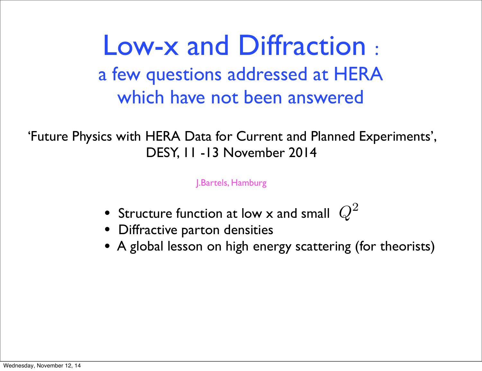Low-x and Diffraction : a few questions addressed at HERA which have not been answered

'Future Physics with HERA Data for Current and Planned Experiments', DESY, 11 -13 November 2014

J.Bartels, Hamburg

- Structure function at low **x** and small  $Q^2$
- Diffractive parton densities
- A global lesson on high energy scattering (for theorists)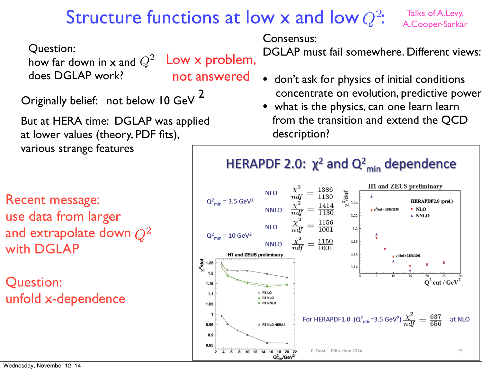### Structure functions at low x and low  $Q^2$ :

Question:

how far down in x and  $Q^2$  Low x problem, does DGLAP work?

not answered

Originally belief: not below 10 GeV<sup>2</sup>

But at HERA time: DGLAP was applied at lower values (theory, PDF fits), various strange features

Recent message: use data from larger and extrapolate down  $Q^2$ with DGLAP

Question: unfold x-dependence Consensus:

DGLAP must fail somewhere. Different views:

Talks of A.Levy,

A.Cooper-Sarkar

- don't ask for physics of initial conditions concentrate on evolution, predictive power
- what is the physics, can one learn learn from the transition and extend the QCD description?

### HERAPDF 2.0:  $\chi^2$  and  $Q_{min}^2$  dependence

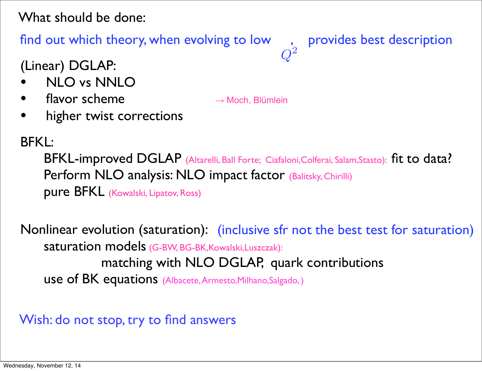What should be done:

find out which theory, when evolving to low, provides best description

(Linear) DGLAP:

- NLO vs NNLO
- $f$ **lavor scheme**  $\rightarrow$  Moch, Blümlein

 $Q^2$ 

higher twist corrections

### BFKL:

 BFKL-improved DGLAP (Altarelli, Ball Forte; Ciafaloni,Colferai, Salam,Stasto): fit to data? Perform NLO analysis: NLO impact factor (Balitsky, Chirilli) pure BFKL (Kowalski, Lipatov, Ross)

Nonlinear evolution (saturation): (inclusive sfr not the best test for saturation) saturation models (G-BW, BG-BK,Kowalski,Luszczak): matching with NLO DGLAP, quark contributions use of BK equations (Albacete, Armesto,Milhano,Salgado, )

Wish: do not stop, try to find answers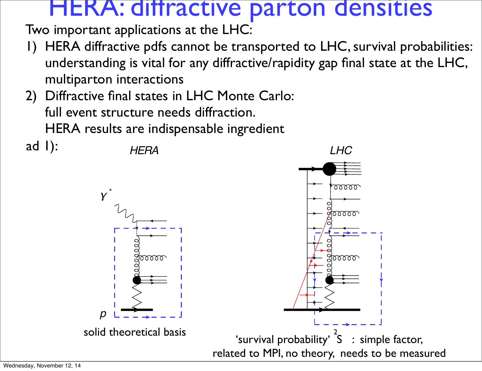## HERA: diffractive parton densities

Two important applications at the LHC:

- 1) HERA diffractive pdfs cannot be transported to LHC, survival probabilities: understanding is vital for any diffractive/rapidity gap final state at the LHC, multiparton interactions
- 2) Diffractive final states in LHC Monte Carlo: full event structure needs diffraction. HERA results are indispensable ingredient

ad  $I$ ):





related to MPI, no theory, needs to be measured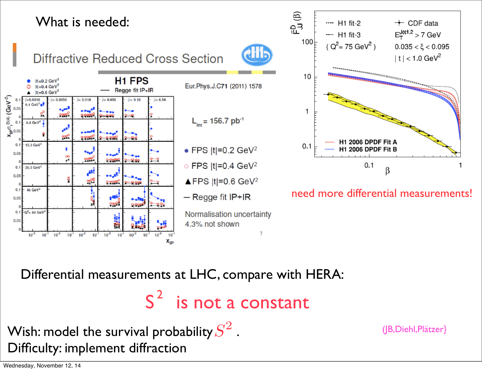



need more differential measurements!

Differential measurements at LHC, compare with HERA:

S<sup>2</sup> is not a constant 2

Wish: model the survival probability  $S^2$  . Difficulty: implement diffraction

(JB,Diehl,Plätzer}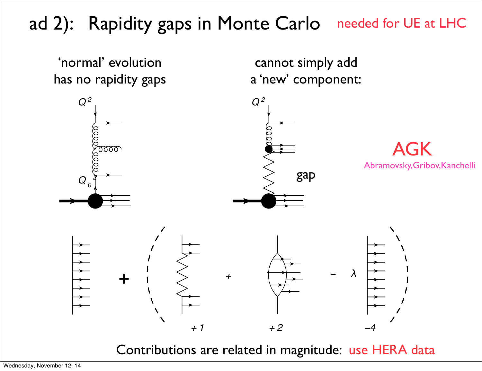## ad 2): Rapidity gaps in Monte Carlo needed for UE at LHC



Contributions are related in magnitude: use HERA data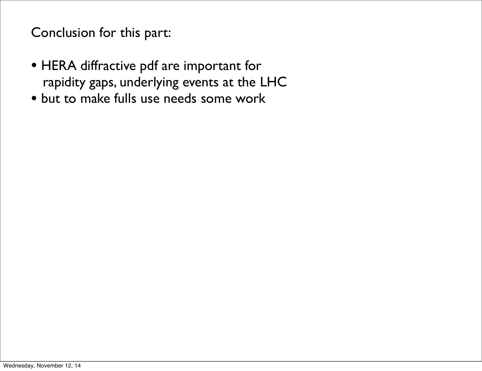#### Conclusion for this part:

- HERA diffractive pdf are important for rapidity gaps, underlying events at the LHC
- but to make fulls use needs some work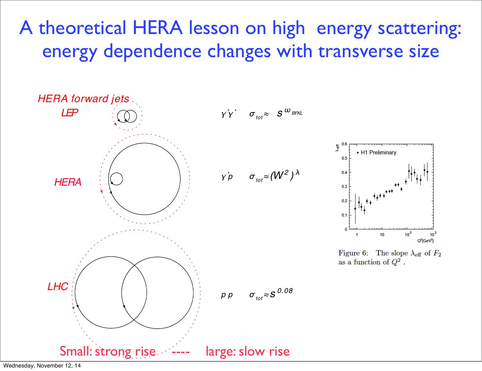## A theoretical HERA lesson on high energy scattering: energy dependence changes with transverse size

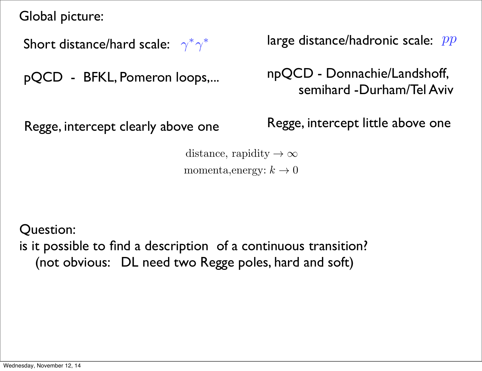Global picture:

Short distance/hard scale:  $\gamma^* \gamma^*$ 

pQCD - BFKL, Pomeron loops,...

Regge, intercept clearly above one

 $\gamma^* \gamma^*$  large distance/hadronic scale:  $pp$ 

npQCD - Donnachie/Landshoff, semihard -Durham/Tel Aviv

Regge, intercept little above one

distance, rapidity  $\rightarrow \infty$ momenta, energy:  $k \to 0$ 

Question:

is it possible to find a description of a continuous transition? (not obvious: DL need two Regge poles, hard and soft)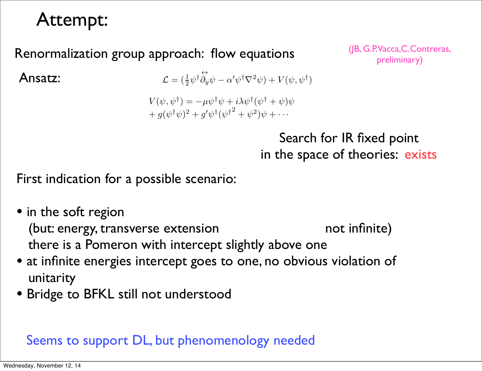### Attempt:

#### Renormalization group approach: flow equations (JB, G.P.Vacca, C.Contreras,

Ansatz:

$$
\mathcal{L} = (\frac{1}{2}\psi^{\dagger}\overset{\leftrightarrow}{\partial_y}\psi - \alpha'\psi^{\dagger}\nabla^2\psi) + V(\psi, \psi^{\dagger})
$$

 $V(\psi, \psi^{\dagger}) = -\mu \psi^{\dagger} \psi + i\lambda \psi^{\dagger} (\psi^{\dagger} + \psi) \psi$  $+ g(\psi^{\dagger}\psi)^2 + g'\psi^{\dagger}(\psi^{\dagger}^2 + \psi^2)\psi + \cdots$ 

> Search for IR fixed point in the space of theories: exists

preliminary)

First indication for a possible scenario:

- in the soft region (but: energy, transverse extension not infinite) there is a Pomeron with intercept slightly above one
- at infinite energies intercept goes to one, no obvious violation of unitarity
- Bridge to BFKL still not understood

### Seems to support DL, but phenomenology needed